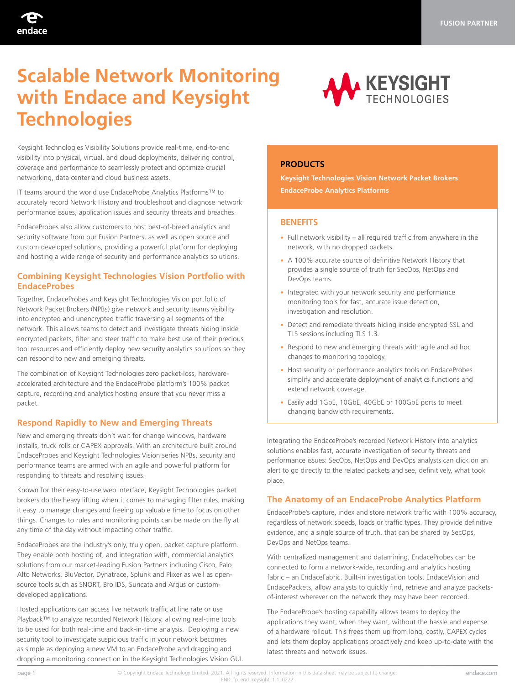

# **Scalable Network Monitoring with Endace and Keysight Technologies**



Keysight Technologies Visibility Solutions provide real-time, end-to-end visibility into physical, virtual, and cloud deployments, delivering control, coverage and performance to seamlessly protect and optimize crucial networking, data center and cloud business assets.

IT teams around the world use EndaceProbe Analytics Platforms™ to accurately record Network History and troubleshoot and diagnose network performance issues, application issues and security threats and breaches.

EndaceProbes also allow customers to host best-of-breed analytics and security software from our Fusion Partners, as well as open source and custom developed solutions, providing a powerful platform for deploying and hosting a wide range of security and performance analytics solutions.

# **Combining Keysight Technologies Vision Portfolio with EndaceProbes**

Together, EndaceProbes and Keysight Technologies Vision portfolio of Network Packet Brokers (NPBs) give network and security teams visibility into encrypted and unencrypted traffic traversing all segments of the network. This allows teams to detect and investigate threats hiding inside encrypted packets, filter and steer traffic to make best use of their precious tool resources and efficiently deploy new security analytics solutions so they can respond to new and emerging threats.

The combination of Keysight Technologies zero packet-loss, hardwareaccelerated architecture and the EndaceProbe platform's 100% packet capture, recording and analytics hosting ensure that you never miss a packet.

# **Respond Rapidly to New and Emerging Threats**

New and emerging threats don't wait for change windows, hardware installs, truck rolls or CAPEX approvals. With an architecture built around EndaceProbes and Keysight Technologies Vision series NPBs, security and performance teams are armed with an agile and powerful platform for responding to threats and resolving issues.

Known for their easy-to-use web interface, Keysight Technologies packet brokers do the heavy lifting when it comes to managing filter rules, making it easy to manage changes and freeing up valuable time to focus on other things. Changes to rules and monitoring points can be made on the fly at any time of the day without impacting other traffic.

EndaceProbes are the industry's only, truly open, packet capture platform. They enable both hosting of, and integration with, commercial analytics solutions from our market-leading Fusion Partners including Cisco, Palo Alto Networks, BluVector, Dynatrace, Splunk and Plixer as well as opensource tools such as SNORT, Bro IDS, Suricata and Argus or customdeveloped applications.

Hosted applications can access live network traffic at line rate or use Playback™ to analyze recorded Network History, allowing real-time tools to be used for both real-time and back-in-time analysis. Deploying a new security tool to investigate suspicious traffic in your network becomes as simple as deploying a new VM to an EndaceProbe and dragging and dropping a monitoring connection in the Keysight Technologies Vision GUI.

# **PRODUCTS**

**Keysight Technologies Vision Network Packet Brokers EndaceProbe Analytics Platforms**

### **BENEFITS**

- Full network visibility all required traffic from anywhere in the network, with no dropped packets.
- A 100% accurate source of definitive Network History that provides a single source of truth for SecOps, NetOps and DevOps teams.
- Integrated with your network security and performance monitoring tools for fast, accurate issue detection, investigation and resolution.
- Detect and remediate threats hiding inside encrypted SSL and TLS sessions including TLS 1.3.
- Respond to new and emerging threats with agile and ad hoc changes to monitoring topology.
- Host security or performance analytics tools on EndaceProbes simplify and accelerate deployment of analytics functions and extend network coverage.
- Easily add 1GbE, 10GbE, 40GbE or 100GbE ports to meet changing bandwidth requirements.

Integrating the EndaceProbe's recorded Network History into analytics solutions enables fast, accurate investigation of security threats and performance issues: SecOps, NetOps and DevOps analysts can click on an alert to go directly to the related packets and see, definitively, what took place.

## **The Anatomy of an EndaceProbe Analytics Platform**

EndaceProbe's capture, index and store network traffic with 100% accuracy, regardless of network speeds, loads or traffic types. They provide definitive evidence, and a single source of truth, that can be shared by SecOps, DevOps and NetOps teams.

With centralized management and datamining, EndaceProbes can be connected to form a network-wide, recording and analytics hosting fabric – an EndaceFabric. Built-in investigation tools, EndaceVision and EndacePackets, allow analysts to quickly find, retrieve and analyze packetsof-interest wherever on the network they may have been recorded.

The EndaceProbe's hosting capability allows teams to deploy the applications they want, when they want, without the hassle and expense of a hardware rollout. This frees them up from long, costly, CAPEX cycles and lets them deploy applications proactively and keep up-to-date with the latest threats and network issues.

page 1 **endace.com** © Copyright Endace Technology Limited, 2021. All rights reserved. Information in this data sheet may be subject to change. **The endace of the subsection** endace.com END\_fp\_end\_keysight\_1.1\_0222